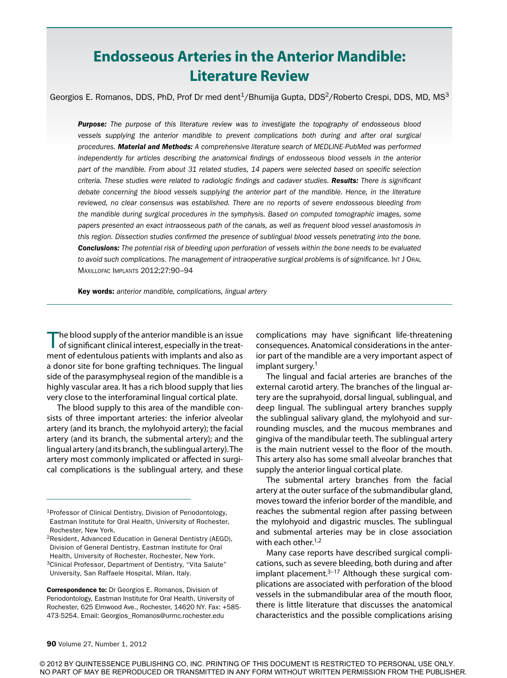# **Endosseous Arteries in the Anterior Mandible: Literature Review**

Georgios E. Romanos, DDS, PhD, Prof Dr med dent<sup>1</sup>/Bhumija Gupta, DDS<sup>2</sup>/Roberto Crespi, DDS, MD, MS<sup>3</sup>

*Purpose: The purpose of this literature review was to investigate the topography of endosseous blood vessels supplying the anterior mandible to prevent complications both during and after oral surgical procedures. Material and Methods: A comprehensive literature search of MEDLINE-PubMed was performed independently for articles describing the anatomical findings of endosseous blood vessels in the anterior part of the mandible. From about 31 related studies, 14 papers were selected based on specific selection criteria. These studies were related to radiologic findings and cadaver studies. Results: There is significant debate concerning the blood vessels supplying the anterior part of the mandible. Hence, in the literature reviewed, no clear consensus was established. There are no reports of severe endosseous bleeding from the mandible during surgical procedures in the symphysis. Based on computed tomographic images, some papers presented an exact intraosseous path of the canals, as well as frequent blood vessel anastomosis in this region. Dissection studies confirmed the presence of sublingual blood vessels penetrating into the bone. Conclusions: The potential risk of bleeding upon perforation of vessels within the bone needs to be evaluated to avoid such complications. The management of intraoperative surgical problems is of significance.* Int J Oral Maxillofac Implants 2012;27:90–94

Key words: *anterior mandible, complications, lingual artery*

The blood supply of the anterior mandible is an issue of significant clinical interest, especially in the treatment of edentulous patients with implants and also as a donor site for bone grafting techniques. The lingual side of the parasymphyseal region of the mandible is a highly vascular area. It has a rich blood supply that lies very close to the interforaminal lingual cortical plate.

The blood supply to this area of the mandible consists of three important arteries: the inferior alveolar artery (and its branch, the mylohyoid artery); the facial artery (and its branch, the submental artery); and the lingual artery (and its branch, the sublingual artery). The artery most commonly implicated or affected in surgical complications is the sublingual artery, and these

Correspondence to: Dr Georgios E. Romanos, Division of Periodontology, Eastman Institute for Oral Health, University of Rochester, 625 Elmwood Ave., Rochester, 14620 NY. Fax: +585- 473-5254. Email: Georgios\_Romanos@urmc.rochester.edu

complications may have significant life-threatening consequences. Anatomical considerations in the anterior part of the mandible are a very important aspect of implant surgery.<sup>1</sup>

The lingual and facial arteries are branches of the external carotid artery. The branches of the lingual artery are the suprahyoid, dorsal lingual, sublingual, and deep lingual. The sublingual artery branches supply the sublingual salivary gland, the mylohyoid and surrounding muscles, and the mucous membranes and gingiva of the mandibular teeth. The sublingual artery is the main nutrient vessel to the floor of the mouth. This artery also has some small alveolar branches that supply the anterior lingual cortical plate.

The submental artery branches from the facial artery at the outer surface of the submandibular gland, moves toward the inferior border of the mandible, and reaches the submental region after passing between the mylohyoid and digastric muscles. The sublingual and submental arteries may be in close association with each other. $1,2$ 

Many case reports have described surgical complications, such as severe bleeding, both during and after implant placement. $3-17$  Although these surgical complications are associated with perforation of the blood vessels in the submandibular area of the mouth floor, there is little literature that discusses the anatomical characteristics and the possible complications arising

© 2012 BY QUINTESSENCE PUBLISHING CO, INC. PRINTING OF THIS DOCUMENT IS RESTRICTED TO PERSONAL USE ONLY. NO PART OF MAY BE REPRODUCED OR TRANSMITTED IN ANY FORM WITHOUT WRITTEN PERMISSION FROM THE PUBLISHER.

<sup>1</sup>Professor of Clinical Dentistry, Division of Periodontology, Eastman Institute for Oral Health, University of Rochester, Rochester, New York.

<sup>2</sup>Resident, Advanced Education in General Dentistry (AEGD), Division of General Dentistry, Eastman Institute for Oral Health, University of Rochester, Rochester, New York. <sup>3</sup>Clinical Professor, Department of Dentistry, "Vita Salute" University, San Raffaele Hospital, Milan, Italy.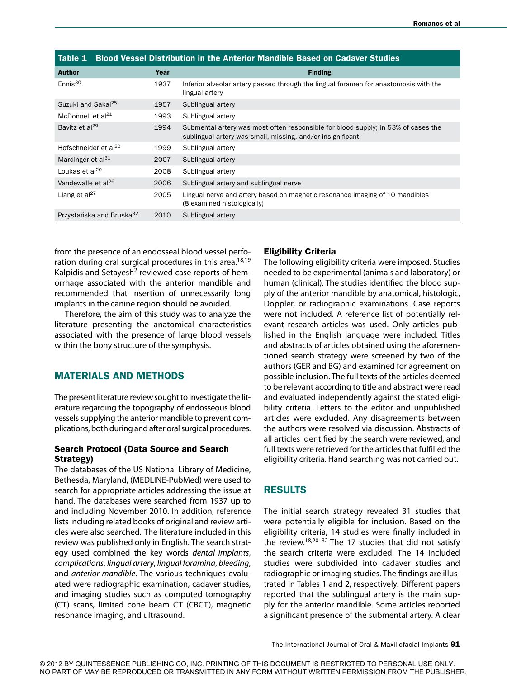| <b>Blood Vessel Distribution in the Anterior Mandible Based on Cadaver Studies</b><br>Table 1 |      |                                                                                                                                                 |  |
|-----------------------------------------------------------------------------------------------|------|-------------------------------------------------------------------------------------------------------------------------------------------------|--|
| <b>Author</b>                                                                                 | Year | <b>Finding</b>                                                                                                                                  |  |
| Ennis <sup>30</sup>                                                                           | 1937 | Inferior alveolar artery passed through the lingual foramen for anastomosis with the<br>lingual artery                                          |  |
| Suzuki and Sakai <sup>25</sup>                                                                | 1957 | Sublingual artery                                                                                                                               |  |
| McDonnell et $al21$                                                                           | 1993 | Sublingual artery                                                                                                                               |  |
| Bavitz et al <sup>29</sup>                                                                    | 1994 | Submental artery was most often responsible for blood supply; in 53% of cases the<br>sublingual artery was small, missing, and/or insignificant |  |
| Hofschneider et al <sup>23</sup>                                                              | 1999 | Sublingual artery                                                                                                                               |  |
| Mardinger et al $31$                                                                          | 2007 | Sublingual artery                                                                                                                               |  |
| Loukas et al <sup>20</sup>                                                                    | 2008 | Sublingual artery                                                                                                                               |  |
| Vandewalle et al <sup>26</sup>                                                                | 2006 | Sublingual artery and sublingual nerve                                                                                                          |  |
| Liang et al <sup>27</sup>                                                                     | 2005 | Lingual nerve and artery based on magnetic resonance imaging of 10 mandibles<br>(8 examined histologically)                                     |  |
| Przystańska and Bruska <sup>32</sup>                                                          | 2010 | Sublingual artery                                                                                                                               |  |

from the presence of an endosseal blood vessel perforation during oral surgical procedures in this area.<sup>18,19</sup> Kalpidis and Setayesh<sup>2</sup> reviewed case reports of hemorrhage associated with the anterior mandible and recommended that insertion of unnecessarily long implants in the canine region should be avoided.

Therefore, the aim of this study was to analyze the literature presenting the anatomical characteristics associated with the presence of large blood vessels within the bony structure of the symphysis.

## Materials and Methods

The present literature review sought to investigate the literature regarding the topography of endosseous blood vessels supplying the anterior mandible to prevent complications, both during and after oral surgical procedures.

#### Search Protocol (Data Source and Search Strategy)

The databases of the US National Library of Medicine, Bethesda, Maryland, (MEDLINE-PubMed) were used to search for appropriate articles addressing the issue at hand. The databases were searched from 1937 up to and including November 2010. In addition, reference lists including related books of original and review articles were also searched. The literature included in this review was published only in English. The search strategy used combined the key words *dental implants*, *complications*, *lingual artery*, *lingual foramina*, *bleeding*, and *anterior mandible*. The various techniques evaluated were radiographic examination, cadaver studies, and imaging studies such as computed tomography (CT) scans, limited cone beam CT (CBCT), magnetic resonance imaging, and ultrasound.

#### Eligibility Criteria

The following eligibility criteria were imposed. Studies needed to be experimental (animals and laboratory) or human (clinical). The studies identified the blood supply of the anterior mandible by anatomical, histologic, Doppler, or radiographic examinations. Case reports were not included. A reference list of potentially relevant research articles was used. Only articles published in the English language were included. Titles and abstracts of articles obtained using the aforementioned search strategy were screened by two of the authors (GER and BG) and examined for agreement on possible inclusion. The full texts of the articles deemed to be relevant according to title and abstract were read and evaluated independently against the stated eligibility criteria. Letters to the editor and unpublished articles were excluded. Any disagreements between the authors were resolved via discussion. Abstracts of all articles identified by the search were reviewed, and full texts were retrieved for the articles that fulfilled the eligibility criteria. Hand searching was not carried out.

#### **RESULTS**

The initial search strategy revealed 31 studies that were potentially eligible for inclusion. Based on the eligibility criteria, 14 studies were finally included in the review.<sup>18,20-32</sup> The 17 studies that did not satisfy the search criteria were excluded. The 14 included studies were subdivided into cadaver studies and radiographic or imaging studies. The findings are illustrated in Tables 1 and 2, respectively. Different papers reported that the sublingual artery is the main supply for the anterior mandible. Some articles reported a significant presence of the submental artery. A clear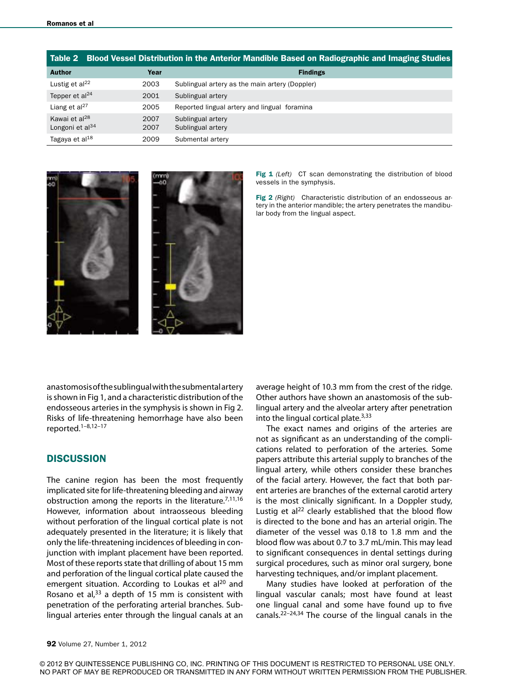|                                                    |              | Table 2 Blood Vessel Distribution in the Anterior Mandible Based on Radiographic and Imaging Studies |
|----------------------------------------------------|--------------|------------------------------------------------------------------------------------------------------|
| <b>Author</b>                                      | Year         | <b>Findings</b>                                                                                      |
| Lustig et $al22$                                   | 2003         | Sublingual artery as the main artery (Doppler)                                                       |
| Tepper et al <sup>24</sup>                         | 2001         | Sublingual artery                                                                                    |
| Liang et al <sup>27</sup>                          | 2005         | Reported lingual artery and lingual foramina                                                         |
| Kawai et al <sup>28</sup><br>Longoni et al $^{34}$ | 2007<br>2007 | Sublingual artery<br>Sublingual artery                                                               |
|                                                    |              |                                                                                                      |
| Tagaya et al <sup>18</sup>                         | 2009         | Submental artery                                                                                     |



Fig 1 (Left) CT scan demonstrating the distribution of blood vessels in the symphysis.

Fig 2 *(Right)* Characteristic distribution of an endosseous artery in the anterior mandible; the artery penetrates the mandibular body from the lingual aspect.

anastomosis of the sublingual with the submental artery is shown in Fig 1, and a characteristic distribution of the endosseous arteries in the symphysis is shown in Fig 2. Risks of life-threatening hemorrhage have also been reported.1–8,12–17

#### **DISCUSSION**

The canine region has been the most frequently implicated site for life-threatening bleeding and airway obstruction among the reports in the literature. $7,11,16$ However, information about intraosseous bleeding without perforation of the lingual cortical plate is not adequately presented in the literature; it is likely that only the life-threatening incidences of bleeding in conjunction with implant placement have been reported. Most of these reports state that drilling of about 15 mm and perforation of the lingual cortical plate caused the emergent situation. According to Loukas et al<sup>20</sup> and Rosano et al, $33$  a depth of 15 mm is consistent with penetration of the perforating arterial branches. Sublingual arteries enter through the lingual canals at an average height of 10.3 mm from the crest of the ridge. Other authors have shown an anastomosis of the sublingual artery and the alveolar artery after penetration into the lingual cortical plate. $3,33$ 

The exact names and origins of the arteries are not as significant as an understanding of the complications related to perforation of the arteries. Some papers attribute this arterial supply to branches of the lingual artery, while others consider these branches of the facial artery. However, the fact that both parent arteries are branches of the external carotid artery is the most clinically significant. In a Doppler study, Lustig et al $^{22}$  clearly established that the blood flow is directed to the bone and has an arterial origin. The diameter of the vessel was 0.18 to 1.8 mm and the blood flow was about 0.7 to 3.7 mL/min. This may lead to significant consequences in dental settings during surgical procedures, such as minor oral surgery, bone harvesting techniques, and/or implant placement.

Many studies have looked at perforation of the lingual vascular canals; most have found at least one lingual canal and some have found up to five canals.<sup>22–24,34</sup> The course of the lingual canals in the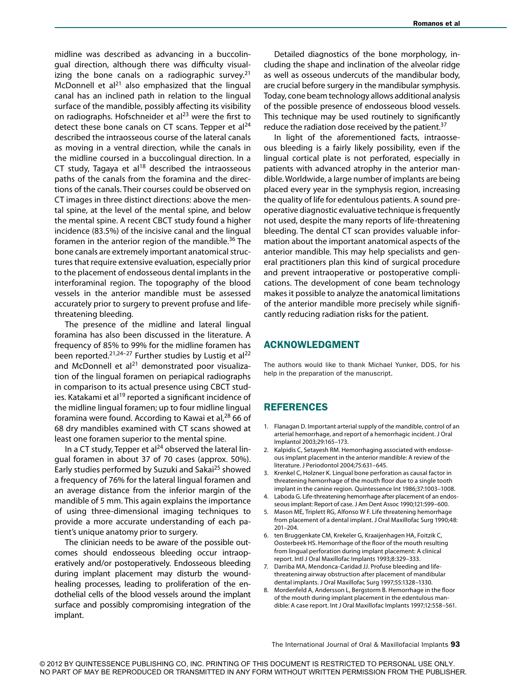midline was described as advancing in a buccolingual direction, although there was difficulty visualizing the bone canals on a radiographic survey. $21$ McDonnell et  $al^{21}$  also emphasized that the lingual canal has an inclined path in relation to the lingual surface of the mandible, possibly affecting its visibility on radiographs. Hofschneider et al $^{23}$  were the first to detect these bone canals on CT scans. Tepper et  $al^{24}$ described the intraosseous course of the lateral canals as moving in a ventral direction, while the canals in the midline coursed in a buccolingual direction. In a CT study, Tagaya et al $18$  described the intraosseous paths of the canals from the foramina and the directions of the canals. Their courses could be observed on CT images in three distinct directions: above the mental spine, at the level of the mental spine, and below the mental spine. A recent CBCT study found a higher incidence (83.5%) of the incisive canal and the lingual foramen in the anterior region of the mandible.<sup>36</sup> The bone canals are extremely important anatomical structures that require extensive evaluation, especially prior to the placement of endosseous dental implants in the interforaminal region. The topography of the blood vessels in the anterior mandible must be assessed accurately prior to surgery to prevent profuse and lifethreatening bleeding.

The presence of the midline and lateral lingual foramina has also been discussed in the literature. A frequency of 85% to 99% for the midline foramen has been reported.<sup>21,24-27</sup> Further studies by Lustig et al<sup>22</sup> and McDonnell et al $^{21}$  demonstrated poor visualization of the lingual foramen on periapical radiographs in comparison to its actual presence using CBCT studies. Katakami et al<sup>19</sup> reported a significant incidence of the midline lingual foramen; up to four midline lingual foramina were found. According to Kawai et al,<sup>28</sup> 66 of 68 dry mandibles examined with CT scans showed at least one foramen superior to the mental spine.

In a CT study, Tepper et al<sup>24</sup> observed the lateral lingual foramen in about 37 of 70 cases (approx. 50%). Early studies performed by Suzuki and Sakai<sup>25</sup> showed a frequency of 76% for the lateral lingual foramen and an average distance from the inferior margin of the mandible of 5 mm. This again explains the importance of using three-dimensional imaging techniques to provide a more accurate understanding of each patient's unique anatomy prior to surgery.

The clinician needs to be aware of the possible outcomes should endosseous bleeding occur intraoperatively and/or postoperatively. Endosseous bleeding during implant placement may disturb the woundhealing processes, leading to proliferation of the endothelial cells of the blood vessels around the implant surface and possibly compromising integration of the implant.

Detailed diagnostics of the bone morphology, including the shape and inclination of the alveolar ridge as well as osseous undercuts of the mandibular body, are crucial before surgery in the mandibular symphysis. Today, cone beam technology allows additional analysis of the possible presence of endosseous blood vessels. This technique may be used routinely to significantly reduce the radiation dose received by the patient.<sup>37</sup>

In light of the aforementioned facts, intraosseous bleeding is a fairly likely possibility, even if the lingual cortical plate is not perforated, especially in patients with advanced atrophy in the anterior mandible. Worldwide, a large number of implants are being placed every year in the symphysis region, increasing the quality of life for edentulous patients. A sound preoperative diagnostic evaluative technique is frequently not used, despite the many reports of life-threatening bleeding. The dental CT scan provides valuable information about the important anatomical aspects of the anterior mandible. This may help specialists and general practitioners plan this kind of surgical procedure and prevent intraoperative or postoperative complications. The development of cone beam technology makes it possible to analyze the anatomical limitations of the anterior mandible more precisely while significantly reducing radiation risks for the patient.

### Acknowledgment

The authors would like to thank Michael Yunker, DDS, for his help in the preparation of the manuscript.

#### **REFERENCES**

- 1. Flanagan D. Important arterial supply of the mandible, control of an arterial hemorrhage, and report of a hemorrhagic incident. J Oral Implantol 2003;29:165–173.
- 2. Kalpidis C, Setayesh RM. Hemorrhaging associated with endosseous implant placement in the anterior mandible: A review of the literature. J Periodontol 2004;75:631–645.
- 3. Krenkel C, Holzner K. Lingual bone perforation as causal factor in threatening hemorrhage of the mouth floor due to a single tooth implant in the canine region. Quintessence Int 1986;37:1003–1008.
- 4. Laboda G. Life-threatening hemorrhage after placement of an endosseous implant: Report of case. J Am Dent Assoc 1990;121:599–600.
- 5. Mason ME, Triplett RG, Alfonso W F. Life threatening hemorrhage from placement of a dental implant. J Oral Maxillofac Surg 1990;48: 201–204.
- 6. ten Bruggenkate CM, Krekeler G, Kraaijenhagen HA, Foitzik C, Oosterbeek HS. Hemorrhage of the floor of the mouth resulting from lingual perforation during implant placement: A clinical report. Intl J Oral Maxillofac Implants 1993;8:329–333.
- 7. Darriba MA, Mendonca-Caridad JJ. Profuse bleeding and lifethreatening airway obstruction after placement of mandibular dental implants. J Oral Maxillofac Surg 1997;55:1328–1330.
- 8. Mordenfeld A, Andersson L, Bergstorm B. Hemorrhage in the floor of the mouth during implant placement in the edentulous mandible: A case report. Int J Oral Maxillofac Implants 1997;12:558–561.

The International Journal of Oral & Maxillofacial Implants 93